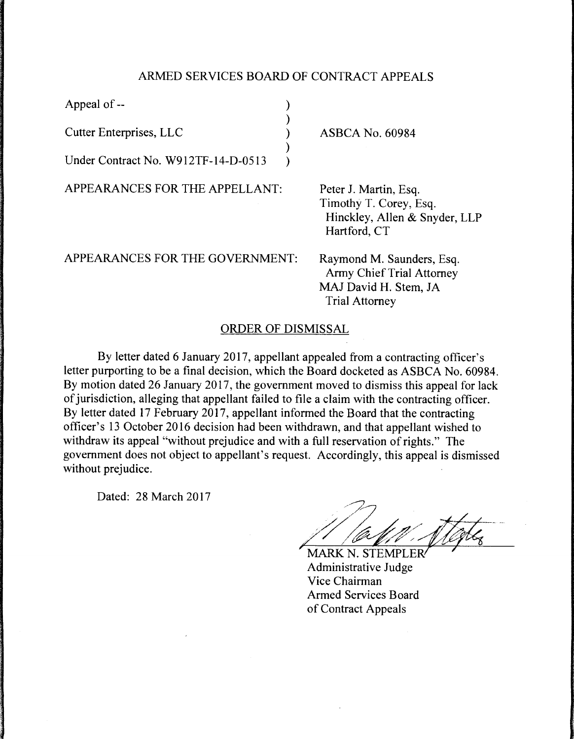## ARMED SERVICES BOARD OF CONTRACT APPEALS

)

)

Appeal of -- (a)

Cutter Enterprises, LLC )

Under Contract No. W912TF-14-D-0513 )

APPEARANCES FOR THE APPELLANT:

ASBCA No. 60984

Peter J. Martin, Esq. Timothy T. Corey, Esq. Hinckley, Allen & Snyder, LLP Hartford, CT

APPEARANCES FOR THE GOVERNMENT:

Raymond M. Saunders, Esq. Army Chief Trial Attorney MAJ David H. Stem, JA Trial Attorney

## ORDER OF DISMISSAL

By letter dated 6 January 2017, appellant appealed from a contracting officer's letter purporting to be a final decision, which the Board docketed as ASBCA No. 60984. By motion dated 26 January 2017, the government moved to dismiss this appeal for lack of jurisdiction, alleging that appellant failed to file a claim with the contracting officer. By letter dated 17 February 2017, appellant informed the Board that the contracting officer's 13 October 2016 decision had been withdrawn, and that appellant wished to withdraw its appeal "without prejudice and with a full reservation of rights." The government does not object to appellant's request. Accordingly, this appeal is dismissed without prejudice.

Dated: 28 March 2017

// /a////////akg

MARK N. STEMPLER Administrative Judge Vice Chairman Armed Services Board of Contract Appeals